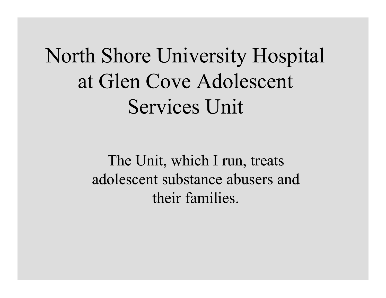North Shore University Hospital at Glen Cove Adolescent Services Unit

> The Unit, which I run, treats adolescent substance abusers and their families.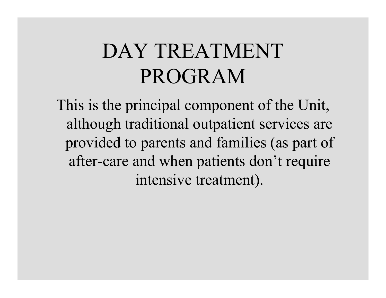## DAY TREATMENT PROGRAM

This is the principal component of the Unit, although traditional outpatient services are provided to parents and families (as part of after -care and when patients don't r equire intensive treatment).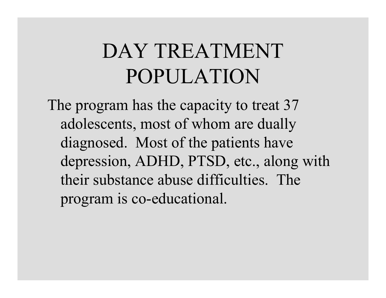# DAY TREATMENT POPULATION

The program has t he capacity t o t reat 37 adolescents, most of whom are duall y diagnosed. Most of the patients have depression, ADHD, PTSD, etc., along with their substance abuse difficulties. The program is co-educational.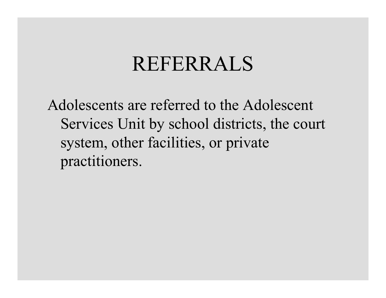#### **REFERRALS**

Adolescents are referred to the Adolescent Services Unit by school districts, the court system, other facilities, or private practitioners.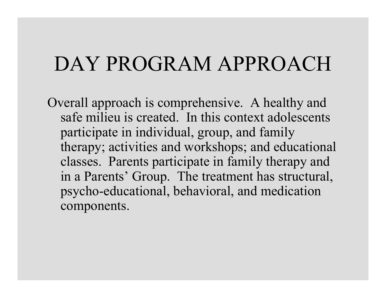#### DAY PROGRAM APPROACH

Overall approach is comprehensive. A healthy and safe milieu is created. In this context adolescents participate in individual, group, and family therapy; activities and workshops; and educational classes. Parents participate in family therapy and in a Parents' Group. The treatment has structural, psycho-educational, behavioral, and medication components.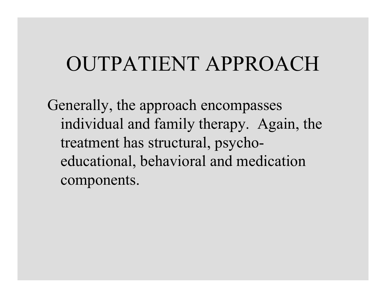#### OUTPATIENT APPROACH

Generally, the approach encompasses individual and family t herapy. Again, the treatment has structural, psychoeducati onal, behavioral and medication components.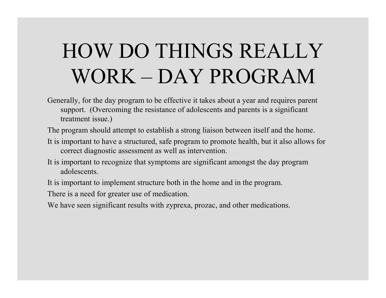# HOW DO THINGS REALLY WORK – DAY PROGRAM

Generally, for the day program to be effective it takes about a year and requires parent support. (Overcoming the resistance of adolescents and parents is a significant treatment issue.)

The program should attempt to establish a strong liaison between itself and the home.

- It is i mportant to h ave a structu red, s afe progr a m to pro m ote health, but it also allows for correct diagnostic assess m e nt as well as intervention.
- It is important to recognize that symptoms are significant amongst the day program adolescents.

It is i mportant to imple ment structure both in the ho m e and in the program.

T here is a need for greater use of m edication.

We have seen significant results with zyprexa, prozac, and other medications.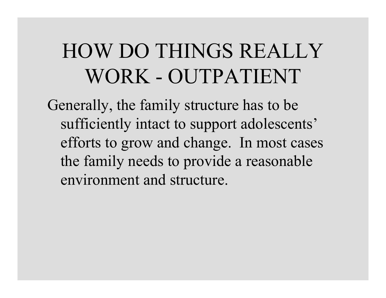# HOW DO THINGS REALLY WORK - OUTPATIENT

Generally, t he family structure has to be sufficient ly i ntact t o s upport adolescents' efforts to grow and change. I n most cases th e fam ily n eeds to provide a reasonable envir onment and structure.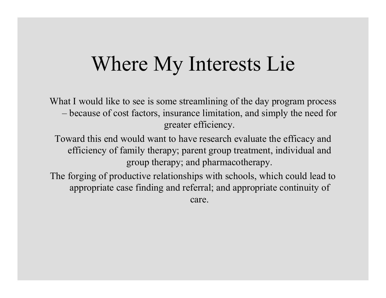### Where My Interests Lie

What I would like to see is some streamlining of the day program process - because of cost factors, insurance limitation, and simply the need for greater efficiency.

Toward this end would want to have research evaluate the efficacy and efficiency of family therapy; parent group treatment, individual and group therapy; and pharmacotherapy.

The forging of productive relationships with schools, which could lead to appropriate case finding and referral; and appropriate continuity of care.